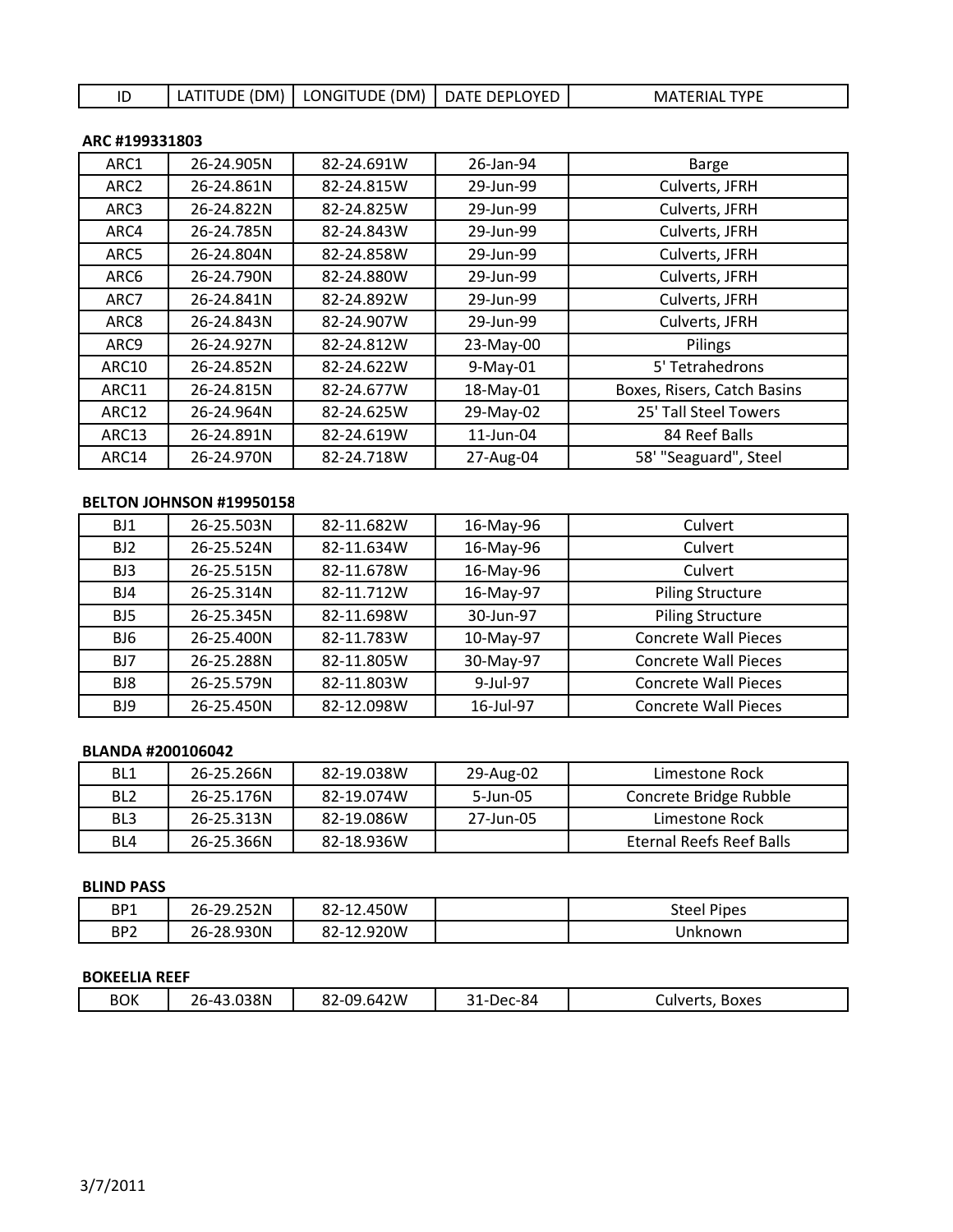ID LATITUDE (DM) | LONGITUDE (DM) | DATE DEPLOYED | MATERIAL TYPE

### **ARC #199331803**

| ARC1             | 26-24.905N | 82-24.691W | 26-Jan-94 | <b>Barge</b>                |
|------------------|------------|------------|-----------|-----------------------------|
| ARC <sub>2</sub> | 26-24.861N | 82-24.815W | 29-Jun-99 | Culverts, JFRH              |
| ARC3             | 26-24.822N | 82-24.825W | 29-Jun-99 | Culverts, JFRH              |
| ARC4             | 26-24.785N | 82-24.843W | 29-Jun-99 | Culverts, JFRH              |
| ARC5             | 26-24.804N | 82-24.858W | 29-Jun-99 | Culverts, JFRH              |
| ARC6             | 26-24.790N | 82-24.880W | 29-Jun-99 | Culverts, JFRH              |
| ARC7             | 26-24.841N | 82-24.892W | 29-Jun-99 | Culverts, JFRH              |
| ARC8             | 26-24.843N | 82-24.907W | 29-Jun-99 | Culverts, JFRH              |
| ARC9             | 26-24.927N | 82-24.812W | 23-May-00 | Pilings                     |
| <b>ARC10</b>     | 26-24.852N | 82-24.622W | 9-May-01  | 5' Tetrahedrons             |
| ARC11            | 26-24.815N | 82-24.677W | 18-May-01 | Boxes, Risers, Catch Basins |
| ARC12            | 26-24.964N | 82-24.625W | 29-May-02 | 25' Tall Steel Towers       |
| ARC13            | 26-24.891N | 82-24.619W | 11-Jun-04 | 84 Reef Balls               |
| ARC14            | 26-24.970N | 82-24.718W | 27-Aug-04 | 58' "Seaguard", Steel       |

## **BELTON JOHNSON #19950158**

| BJ1             | 26-25.503N | 82-11.682W | 16-May-96 | Culvert                     |
|-----------------|------------|------------|-----------|-----------------------------|
| BJ <sub>2</sub> | 26-25.524N | 82-11.634W | 16-May-96 | Culvert                     |
| BJ3             | 26-25.515N | 82-11.678W | 16-May-96 | <b>Culvert</b>              |
| BJ4             | 26-25.314N | 82-11.712W | 16-May-97 | <b>Piling Structure</b>     |
| BJ <sub>5</sub> | 26-25.345N | 82-11.698W | 30-Jun-97 | <b>Piling Structure</b>     |
| BJ6             | 26-25.400N | 82-11.783W | 10-May-97 | <b>Concrete Wall Pieces</b> |
| BJ7             | 26-25.288N | 82-11.805W | 30-May-97 | <b>Concrete Wall Pieces</b> |
| BJ8             | 26-25.579N | 82-11.803W | 9-Jul-97  | <b>Concrete Wall Pieces</b> |
| BJ9             | 26-25.450N | 82-12.098W | 16-Jul-97 | <b>Concrete Wall Pieces</b> |

### **BLANDA #200106042**

| BL1             | 26-25.266N | 82-19.038W | 29-Aug-02 | Limestone Rock           |
|-----------------|------------|------------|-----------|--------------------------|
| BL <sub>2</sub> | 26-25.176N | 82-19.074W | 5-Jun-05  | Concrete Bridge Rubble   |
| BL <sub>3</sub> | 26-25.313N | 82-19.086W | 27-Jun-05 | Limestone Rock           |
| BL4             | 26-25.366N | 82-18.936W |           | Eternal Reefs Reef Balls |

#### **BLIND PASS**

| BP1             | .252N<br>າດ<br>26-7 | ດາ<br>.450W<br>82-12. | Steel<br>' Pipes |
|-----------------|---------------------|-----------------------|------------------|
| BP <sub>2</sub> | 26-28.930N          | 82-12.920W            | Unknown          |

# **BOKEELIA REEF**

| <b>BOK</b><br>.642W<br>.038N<br>۵۵.<br>7er-84<br>o٦<br>ີ 1<br><b>Boxes</b><br>Culverts<br>ו/החי<br>57 - I<br>ເວ<br>ے ت |
|------------------------------------------------------------------------------------------------------------------------|
|------------------------------------------------------------------------------------------------------------------------|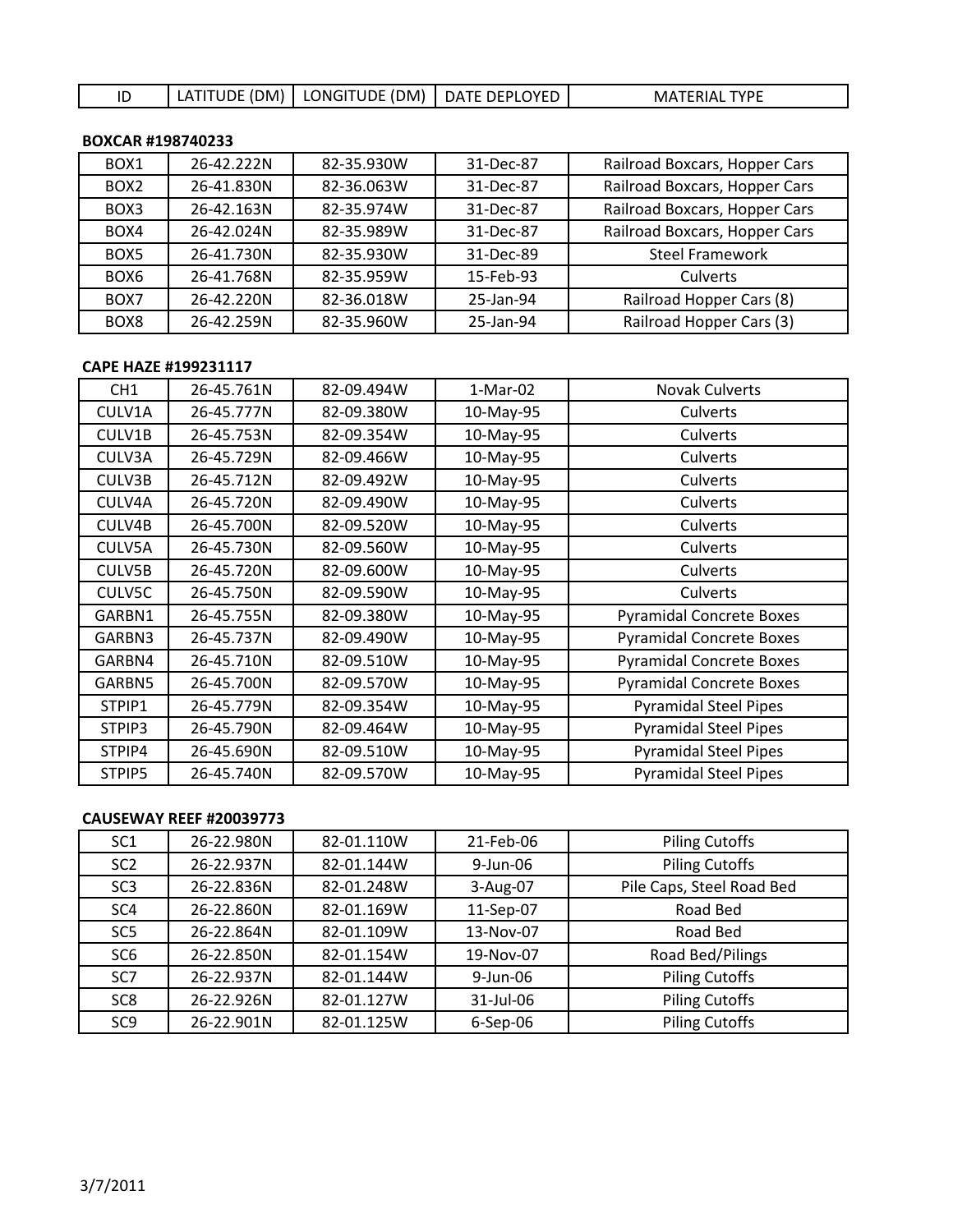# ID | LATITUDE (DM) | LONGITUDE (DM) | DATE DEPLOYED | MATERIAL TYPE

## **BOXCAR #198740233**

| BOX <sub>1</sub> | 26-42.222N | 82-35.930W | 31-Dec-87 | Railroad Boxcars, Hopper Cars |
|------------------|------------|------------|-----------|-------------------------------|
| BOX <sub>2</sub> | 26-41.830N | 82-36.063W | 31-Dec-87 | Railroad Boxcars, Hopper Cars |
| BOX3             | 26-42.163N | 82-35.974W | 31-Dec-87 | Railroad Boxcars, Hopper Cars |
| BOX4             | 26-42.024N | 82-35.989W | 31-Dec-87 | Railroad Boxcars, Hopper Cars |
| BOX <sub>5</sub> | 26-41.730N | 82-35.930W | 31-Dec-89 | <b>Steel Framework</b>        |
| BOX <sub>6</sub> | 26-41.768N | 82-35.959W | 15-Feb-93 | Culverts                      |
| BOX7             | 26-42.220N | 82-36.018W | 25-Jan-94 | Railroad Hopper Cars (8)      |
| BOX <sub>8</sub> | 26-42.259N | 82-35.960W | 25-Jan-94 | Railroad Hopper Cars (3)      |

## **CAPE HAZE #199231117**

| CH <sub>1</sub> | 26-45.761N | 82-09.494W | $1-Mar-02$ | <b>Novak Culverts</b>           |
|-----------------|------------|------------|------------|---------------------------------|
| CULV1A          | 26-45.777N | 82-09.380W | 10-May-95  | Culverts                        |
| CULV1B          | 26-45.753N | 82-09.354W | 10-May-95  | Culverts                        |
| CULV3A          | 26-45.729N | 82-09.466W | 10-May-95  | Culverts                        |
| CULV3B          | 26-45.712N | 82-09.492W | 10-May-95  | Culverts                        |
| CULV4A          | 26-45.720N | 82-09.490W | 10-May-95  | <b>Culverts</b>                 |
| CULV4B          | 26-45.700N | 82-09.520W | 10-May-95  | Culverts                        |
| CULV5A          | 26-45.730N | 82-09.560W | 10-May-95  | Culverts                        |
| CULV5B          | 26-45.720N | 82-09.600W | 10-May-95  | Culverts                        |
| CULV5C          | 26-45.750N | 82-09.590W | 10-May-95  | Culverts                        |
| GARBN1          | 26-45.755N | 82-09.380W | 10-May-95  | <b>Pyramidal Concrete Boxes</b> |
| GARBN3          | 26-45.737N | 82-09.490W | 10-May-95  | <b>Pyramidal Concrete Boxes</b> |
| GARBN4          | 26-45.710N | 82-09.510W | 10-May-95  | <b>Pyramidal Concrete Boxes</b> |
| GARBN5          | 26-45.700N | 82-09.570W | 10-May-95  | <b>Pyramidal Concrete Boxes</b> |
| STPIP1          | 26-45.779N | 82-09.354W | 10-May-95  | <b>Pyramidal Steel Pipes</b>    |
| STPIP3          | 26-45.790N | 82-09.464W | 10-May-95  | <b>Pyramidal Steel Pipes</b>    |
| STPIP4          | 26-45.690N | 82-09.510W | 10-May-95  | <b>Pyramidal Steel Pipes</b>    |
| STPIP5          | 26-45.740N | 82-09.570W | 10-May-95  | <b>Pyramidal Steel Pipes</b>    |

### **CAUSEWAY REEF #20039773**

| SC <sub>1</sub> | 26-22.980N | 82-01.110W | 21-Feb-06 | <b>Piling Cutoffs</b>     |
|-----------------|------------|------------|-----------|---------------------------|
| SC <sub>2</sub> | 26-22.937N | 82-01.144W | 9-Jun-06  | <b>Piling Cutoffs</b>     |
| SC <sub>3</sub> | 26-22.836N | 82-01.248W | 3-Aug-07  | Pile Caps, Steel Road Bed |
| SC <sub>4</sub> | 26-22.860N | 82-01.169W | 11-Sep-07 | Road Bed                  |
| SC <sub>5</sub> | 26-22.864N | 82-01.109W | 13-Nov-07 | Road Bed                  |
| SC <sub>6</sub> | 26-22.850N | 82-01.154W | 19-Nov-07 | Road Bed/Pilings          |
| SC <sub>7</sub> | 26-22.937N | 82-01.144W | 9-Jun-06  | <b>Piling Cutoffs</b>     |
| SC <sub>8</sub> | 26-22.926N | 82-01.127W | 31-Jul-06 | <b>Piling Cutoffs</b>     |
| SC <sub>9</sub> | 26-22.901N | 82-01.125W | 6-Sep-06  | <b>Piling Cutoffs</b>     |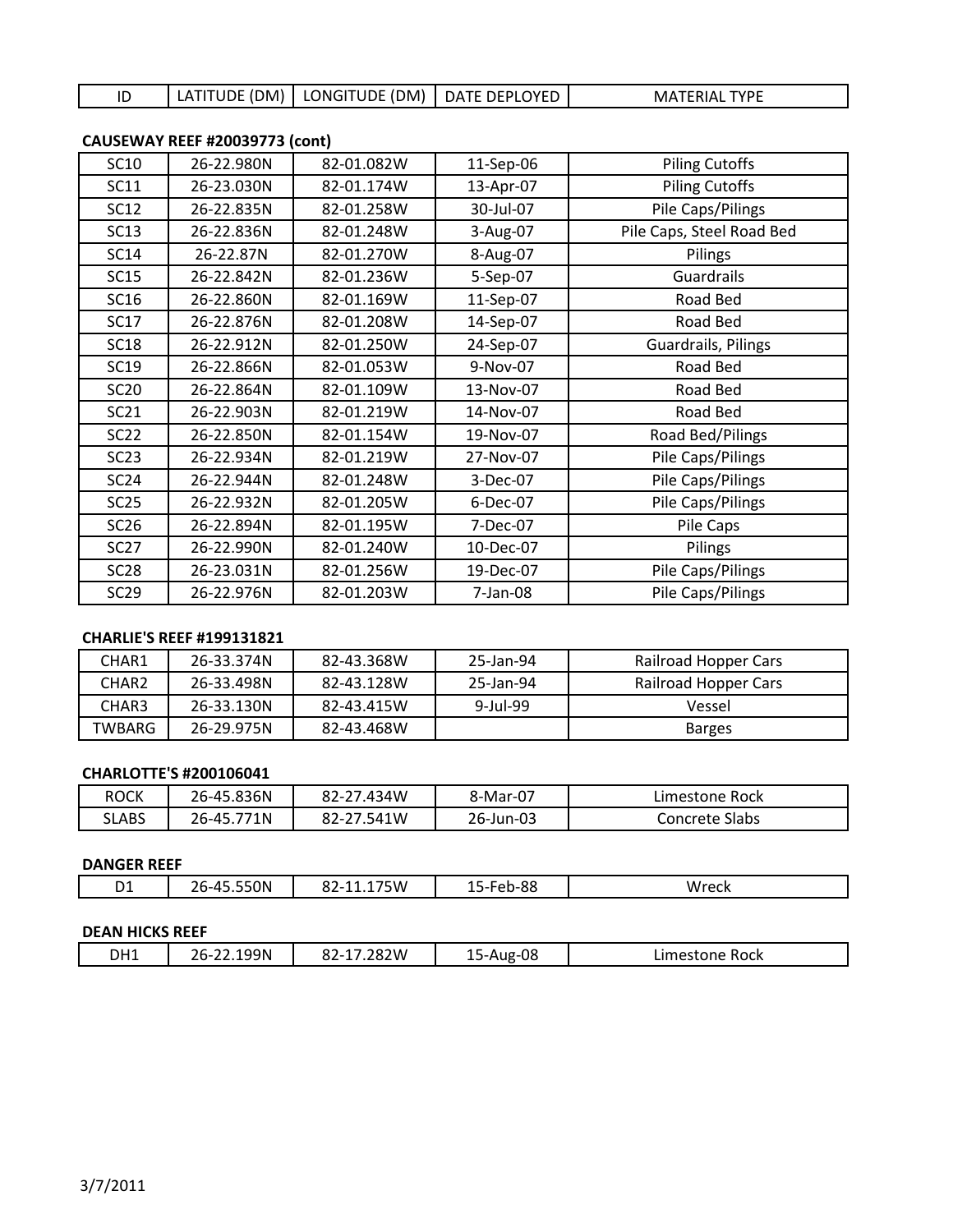|  |  | LATITUDE (DM)   LONGITUDE (DM)   DATE DEPLOYED |  | <b>MATERIAL TYPE</b> |
|--|--|------------------------------------------------|--|----------------------|
|--|--|------------------------------------------------|--|----------------------|

|                  | .09EWAT INEEL #20099779 (CONC) |            |           |                           |
|------------------|--------------------------------|------------|-----------|---------------------------|
| <b>SC10</b>      | 26-22.980N                     | 82-01.082W | 11-Sep-06 | <b>Piling Cutoffs</b>     |
| <b>SC11</b>      | 26-23.030N                     | 82-01.174W | 13-Apr-07 | <b>Piling Cutoffs</b>     |
| <b>SC12</b>      | 26-22.835N                     | 82-01.258W | 30-Jul-07 | Pile Caps/Pilings         |
| <b>SC13</b>      | 26-22.836N                     | 82-01.248W | 3-Aug-07  | Pile Caps, Steel Road Bed |
| <b>SC14</b>      | 26-22.87N                      | 82-01.270W | 8-Aug-07  | Pilings                   |
| <b>SC15</b>      | 26-22.842N                     | 82-01.236W | 5-Sep-07  | Guardrails                |
| SC16             | 26-22.860N                     | 82-01.169W | 11-Sep-07 | Road Bed                  |
| SC17             | 26-22.876N                     | 82-01.208W | 14-Sep-07 | Road Bed                  |
| <b>SC18</b>      | 26-22.912N                     | 82-01.250W | 24-Sep-07 | Guardrails, Pilings       |
| SC19             | 26-22.866N                     | 82-01.053W | 9-Nov-07  | Road Bed                  |
| <b>SC20</b>      | 26-22.864N                     | 82-01.109W | 13-Nov-07 | Road Bed                  |
| <b>SC21</b>      | 26-22.903N                     | 82-01.219W | 14-Nov-07 | Road Bed                  |
| <b>SC22</b>      | 26-22.850N                     | 82-01.154W | 19-Nov-07 | Road Bed/Pilings          |
| SC23             | 26-22.934N                     | 82-01.219W | 27-Nov-07 | Pile Caps/Pilings         |
| <b>SC24</b>      | 26-22.944N                     | 82-01.248W | 3-Dec-07  | Pile Caps/Pilings         |
| SC25             | 26-22.932N                     | 82-01.205W | 6-Dec-07  | Pile Caps/Pilings         |
| SC26             | 26-22.894N                     | 82-01.195W | 7-Dec-07  | Pile Caps                 |
| <b>SC27</b>      | 26-22.990N                     | 82-01.240W | 10-Dec-07 | Pilings                   |
| SC <sub>28</sub> | 26-23.031N                     | 82-01.256W | 19-Dec-07 | Pile Caps/Pilings         |
| SC29             | 26-22.976N                     | 82-01.203W | 7-Jan-08  | Pile Caps/Pilings         |

# **CAUSEWAY REEF #20039773 (cont)**

### **CHARLIE'S REEF #199131821**

| CHAR1             | 26-33.374N | 82-43.368W | 25-Jan-94   | Railroad Hopper Cars |
|-------------------|------------|------------|-------------|----------------------|
| CHAR <sub>2</sub> | 26-33.498N | 82-43.128W | 25-Jan-94   | Railroad Hopper Cars |
| CHAR3             | 26-33.130N | 82-43.415W | $9$ -Jul-99 | Vessel               |
| TWBARG            | 26-29.975N | 82-43.468W |             | <b>Barges</b>        |

# **CHARLOTTE'S #200106041**

| ROCK         | 26-45.836N | '.434W<br>$82 - 27$ | 8-Mar-07  | Limestone Rock    |
|--------------|------------|---------------------|-----------|-------------------|
| <b>SLABS</b> | 26-45.771N | 82-27<br>541W       | 26-Jun-03 | Slabs<br>Concrete |

## **DANGER REEF**

| 5W<br>W.<br>۰.<br>. .<br>.<br>ື<br><u>. u</u><br>$ -$<br>-- | D1 | ำN<br>_____<br>____ | ----<br>$02 - 11.17$ | റ<br>$ -$<br>$\sim$<br>__ | ____ |
|-------------------------------------------------------------|----|---------------------|----------------------|---------------------------|------|
|                                                             |    |                     |                      |                           |      |

## **DEAN HICKS REEF**

|  | DH1 | ∠2.199N<br>'h-<br>--<br>$  -$<br>$\sim$ | -----<br>:82W<br>ے ت | ΩC<br>5-A<br>·uo<br>. u<br>∸~ | Rock<br>Limestone<br>_ _ _ _ |
|--|-----|-----------------------------------------|----------------------|-------------------------------|------------------------------|
|--|-----|-----------------------------------------|----------------------|-------------------------------|------------------------------|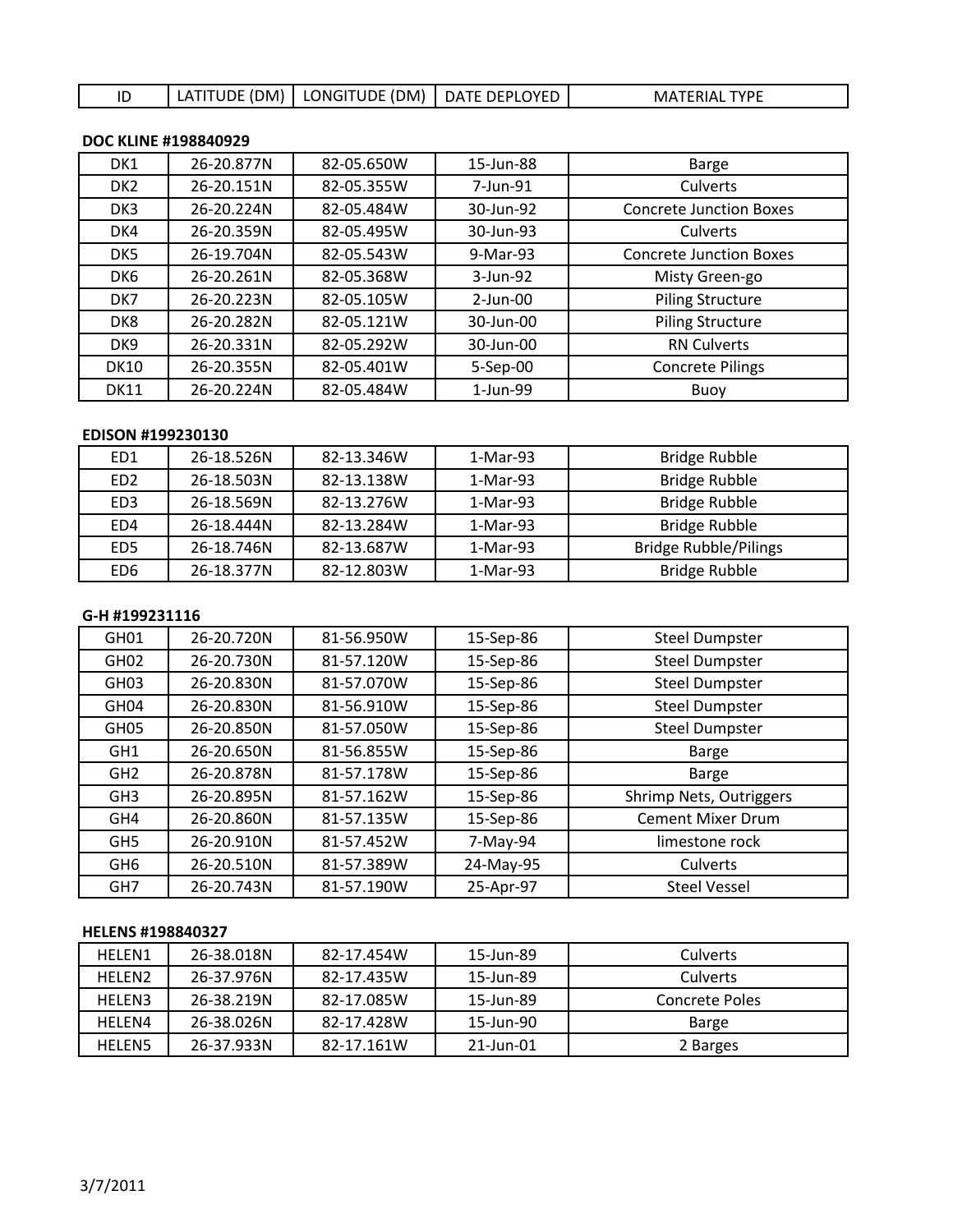# ID | LATITUDE (DM) | LONGITUDE (DM) | DATE DEPLOYED | MATERIAL TYPE

### **DOC KLINE #198840929**

| DK1             | 26-20.877N | 82-05.650W | 15-Jun-88   | <b>Barge</b>                   |
|-----------------|------------|------------|-------------|--------------------------------|
| DK <sub>2</sub> | 26-20.151N | 82-05.355W | 7-Jun-91    | Culverts                       |
| DK <sub>3</sub> | 26-20.224N | 82-05.484W | 30-Jun-92   | <b>Concrete Junction Boxes</b> |
| DK4             | 26-20.359N | 82-05.495W | 30-Jun-93   | Culverts                       |
| DK <sub>5</sub> | 26-19.704N | 82-05.543W | 9-Mar-93    | <b>Concrete Junction Boxes</b> |
| DK <sub>6</sub> | 26-20.261N | 82-05.368W | 3-Jun-92    | Misty Green-go                 |
| DK7             | 26-20.223N | 82-05.105W | $2$ -Jun-00 | <b>Piling Structure</b>        |
| DK8             | 26-20.282N | 82-05.121W | 30-Jun-00   | <b>Piling Structure</b>        |
| DK <sub>9</sub> | 26-20.331N | 82-05.292W | 30-Jun-00   | <b>RN Culverts</b>             |
| <b>DK10</b>     | 26-20.355N | 82-05.401W | 5-Sep-00    | <b>Concrete Pilings</b>        |
| <b>DK11</b>     | 26-20.224N | 82-05.484W | 1-Jun-99    | Buoy                           |

## **EDISON #199230130**

| ED1             | 26-18.526N | 82-13.346W | 1-Mar-93   | Bridge Rubble                |
|-----------------|------------|------------|------------|------------------------------|
| ED <sub>2</sub> | 26-18.503N | 82-13.138W | 1-Mar-93   | Bridge Rubble                |
| ED <sub>3</sub> | 26-18.569N | 82-13.276W | 1-Mar-93   | <b>Bridge Rubble</b>         |
| ED4             | 26-18.444N | 82-13.284W | $1-Mar-93$ | Bridge Rubble                |
| ED <sub>5</sub> | 26-18.746N | 82-13.687W | 1-Mar-93   | <b>Bridge Rubble/Pilings</b> |
| ED <sub>6</sub> | 26-18.377N | 82-12.803W | 1-Mar-93   | Bridge Rubble                |

# **G-H #199231116**

| GH <sub>01</sub> | 26-20.720N | 81-56.950W | 15-Sep-86 | <b>Steel Dumpster</b>    |
|------------------|------------|------------|-----------|--------------------------|
| GH <sub>02</sub> | 26-20.730N | 81-57.120W | 15-Sep-86 | <b>Steel Dumpster</b>    |
| GH <sub>03</sub> | 26-20.830N | 81-57.070W | 15-Sep-86 | <b>Steel Dumpster</b>    |
| GH <sub>04</sub> | 26-20.830N | 81-56.910W | 15-Sep-86 | <b>Steel Dumpster</b>    |
| GH <sub>05</sub> | 26-20.850N | 81-57.050W | 15-Sep-86 | <b>Steel Dumpster</b>    |
| GH <sub>1</sub>  | 26-20.650N | 81-56.855W | 15-Sep-86 | <b>Barge</b>             |
| GH <sub>2</sub>  | 26-20.878N | 81-57.178W | 15-Sep-86 | Barge                    |
| GH <sub>3</sub>  | 26-20.895N | 81-57.162W | 15-Sep-86 | Shrimp Nets, Outriggers  |
| GH4              | 26-20.860N | 81-57.135W | 15-Sep-86 | <b>Cement Mixer Drum</b> |
| GH <sub>5</sub>  | 26-20.910N | 81-57.452W | 7-May-94  | limestone rock           |
| GH <sub>6</sub>  | 26-20.510N | 81-57.389W | 24-May-95 | Culverts                 |
| GH <sub>7</sub>  | 26-20.743N | 81-57.190W | 25-Apr-97 | <b>Steel Vessel</b>      |

### **HELENS #198840327**

| <b>HFLFN1</b>      | 26-38.018N | 82-17.454W | 15-Jun-89 | Culverts       |
|--------------------|------------|------------|-----------|----------------|
| HFLFN <sub>2</sub> | 26-37.976N | 82-17.435W | 15-Jun-89 | Culverts       |
| HFLFN3             | 26-38.219N | 82-17.085W | 15-Jun-89 | Concrete Poles |
| HFLFN4             | 26-38.026N | 82-17.428W | 15-Jun-90 | Barge          |
| <b>HELEN5</b>      | 26-37.933N | 82-17.161W | 21-Jun-01 | 2 Barges       |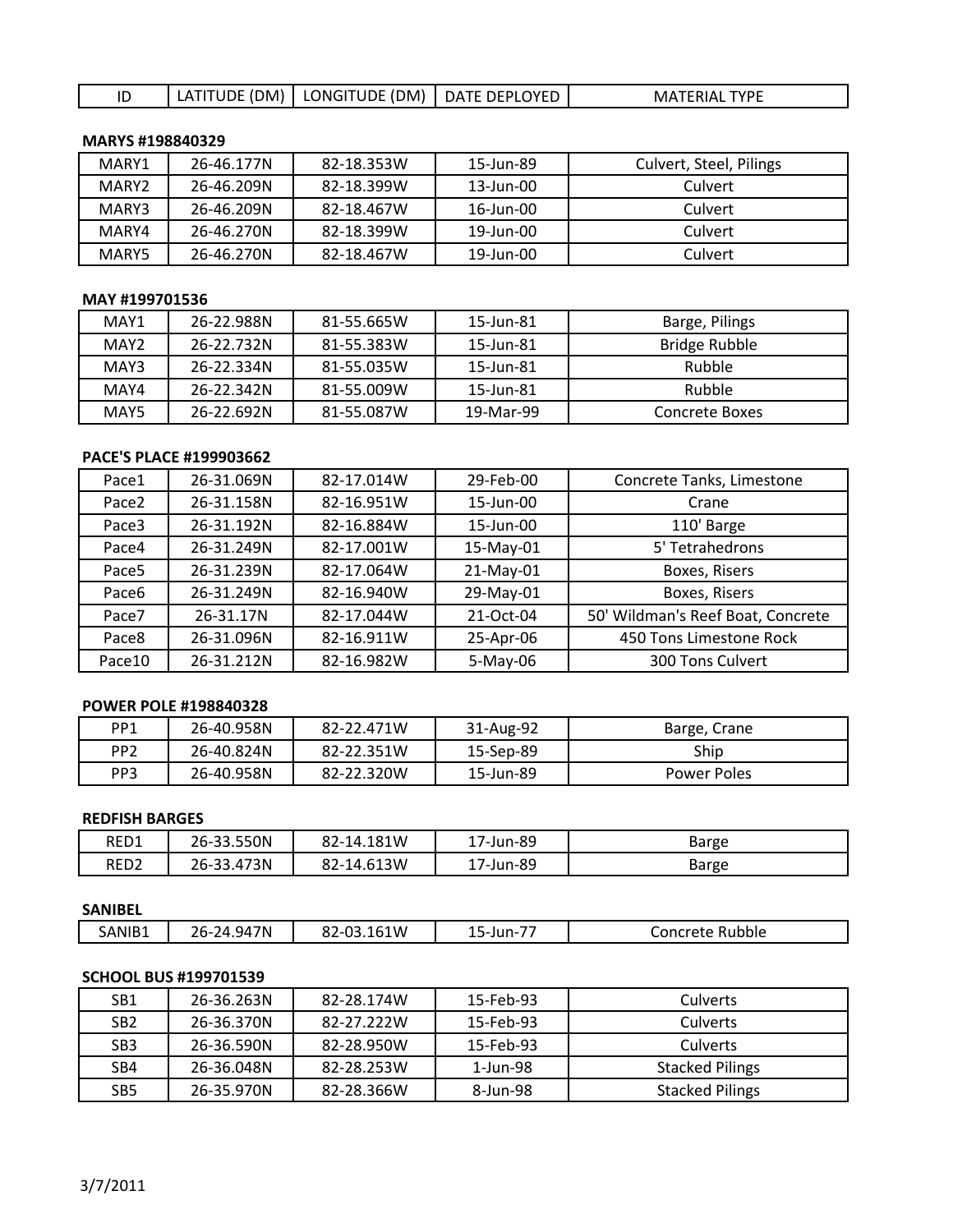# ID LATITUDE (DM) LONGITUDE (DM) DATE DEPLOYED MATERIAL TYPE

### **MARYS #198840329**

| MARY1 | 26-46.177N | 82-18.353W | 15-Jun-89 | Culvert, Steel, Pilings |
|-------|------------|------------|-----------|-------------------------|
| MARY2 | 26-46.209N | 82-18.399W | 13-Jun-00 | Culvert                 |
| MARY3 | 26-46.209N | 82-18.467W | 16-Jun-00 | Culvert                 |
| MARY4 | 26-46.270N | 82-18.399W | 19-Jun-00 | Culvert                 |
| MARY5 | 26-46.270N | 82-18.467W | 19-Jun-00 | Culvert                 |

## **MAY #199701536**

| MAY1 | 26-22.988N | 81-55.665W | 15-Jun-81 | Barge, Pilings |
|------|------------|------------|-----------|----------------|
| MAY2 | 26-22.732N | 81-55.383W | 15-Jun-81 | Bridge Rubble  |
| MAY3 | 26-22.334N | 81-55.035W | 15-Jun-81 | Rubble         |
| MAY4 | 26-22.342N | 81-55.009W | 15-Jun-81 | Rubble         |
| MAY5 | 26-22.692N | 81-55.087W | 19-Mar-99 | Concrete Boxes |

### **PACE'S PLACE #199903662**

| Pace1             | 26-31.069N | 82-17.014W | 29-Feb-00 | Concrete Tanks, Limestone         |
|-------------------|------------|------------|-----------|-----------------------------------|
| Pace2             | 26-31.158N | 82-16.951W | 15-Jun-00 | Crane                             |
| Pace3             | 26-31.192N | 82-16.884W | 15-Jun-00 | 110' Barge                        |
| Pace4             | 26-31.249N | 82-17.001W | 15-May-01 | 5' Tetrahedrons                   |
| Pace <sub>5</sub> | 26-31.239N | 82-17.064W | 21-May-01 | Boxes, Risers                     |
| Pace6             | 26-31.249N | 82-16.940W | 29-May-01 | Boxes, Risers                     |
| Pace7             | 26-31.17N  | 82-17.044W | 21-Oct-04 | 50' Wildman's Reef Boat, Concrete |
| Pace8             | 26-31.096N | 82-16.911W | 25-Apr-06 | 450 Tons Limestone Rock           |
| Pace10            | 26-31.212N | 82-16.982W | 5-May-06  | 300 Tons Culvert                  |

### **POWER POLE #198840328**

| PP1             | 26-40.958N | 82-22.471W | 31-Aug-92 | Barge, Crane |
|-----------------|------------|------------|-----------|--------------|
| PP <sub>2</sub> | 26-40.824N | 82-22.351W | 15-Sep-89 | Ship         |
| PP <sub>3</sub> | 26-40.958N | 82-22.320W | 15-Jun-89 | Power Poles  |

### **REDFISH BARGES**

| RED1             | 26-33.550N           | 82-14.181W | 17-Jun-89     | Barge |
|------------------|----------------------|------------|---------------|-------|
| RED <sub>2</sub> | 3.473N<br>$26 - 3.7$ | 82-14.613W | 7-Jun-89<br>ᆠ | Barge |

| <b>SANIBEL</b> |            |            |                 |                 |
|----------------|------------|------------|-----------------|-----------------|
| SANIB1         | 26-24.947N | 82-03.161W | --<br>15-Jun-7. | Concrete Rubble |

# **SCHOOL BUS #199701539**

| SB1             | 26-36.263N | 82-28.174W | 15-Feb-93 | <b>Culverts</b>        |
|-----------------|------------|------------|-----------|------------------------|
| SB <sub>2</sub> | 26-36.370N | 82-27.222W | 15-Feb-93 | Culverts               |
| SB <sub>3</sub> | 26-36.590N | 82-28.950W | 15-Feb-93 | Culverts               |
| SB4             | 26-36.048N | 82-28.253W | 1-Jun-98  | <b>Stacked Pilings</b> |
| SB <sub>5</sub> | 26-35.970N | 82-28.366W | 8-Jun-98  | <b>Stacked Pilings</b> |